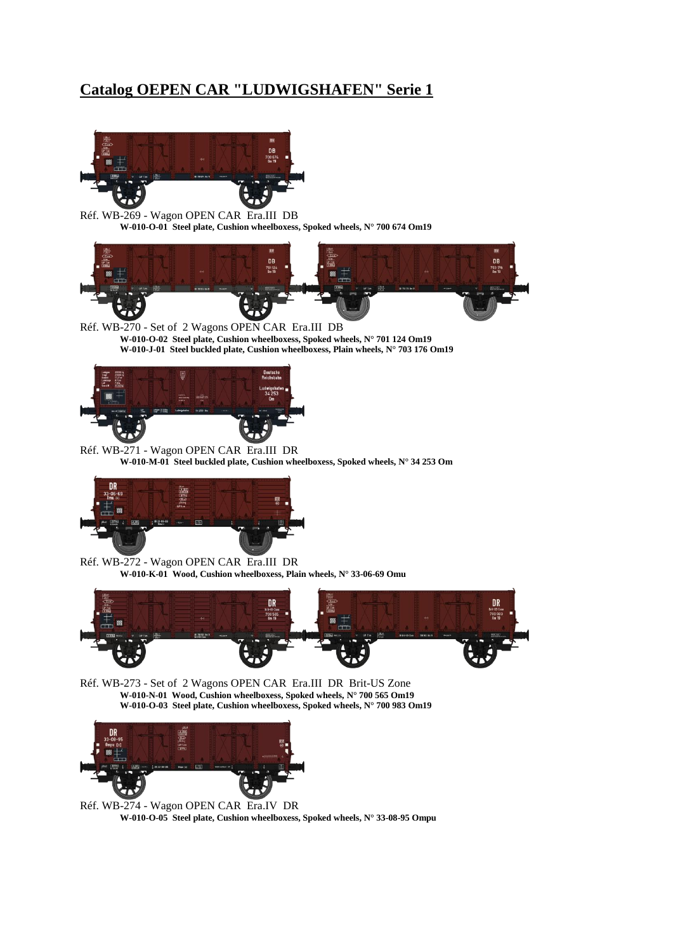## **Catalog OEPEN CAR "LUDWIGSHAFEN" Serie 1**



Réf. WB-269 - Wagon OPEN CAR Era.III DB **W-010-O-01 Steel plate, Cushion wheelboxess, Spoked wheels, N° 700 674 Om19**



Réf. WB-270 - Set of 2 Wagons OPEN CAR Era.III DB **W-010-O-02 Steel plate, Cushion wheelboxess, Spoked wheels, N° 701 124 Om19 W-010-J-01 Steel buckled plate, Cushion wheelboxess, Plain wheels, N° 703 176 Om19**



Réf. WB-271 - Wagon OPEN CAR Era.III DR **W-010-M-01 Steel buckled plate, Cushion wheelboxess, Spoked wheels, N° 34 253 Om**



Réf. WB-272 - Wagon OPEN CAR Era.III DR **W-010-K-01 Wood, Cushion wheelboxess, Plain wheels, N° 33-06-69 Omu**



Réf. WB-273 - Set of 2 Wagons OPEN CAR Era.III DR Brit-US Zone **W-010-N-01 Wood, Cushion wheelboxess, Spoked wheels, N° 700 565 Om19 W-010-O-03 Steel plate, Cushion wheelboxess, Spoked wheels, N° 700 983 Om19**



Réf. WB-274 - Wagon OPEN CAR Era.IV DR **W-010-O-05 Steel plate, Cushion wheelboxess, Spoked wheels, N° 33-08-95 Ompu**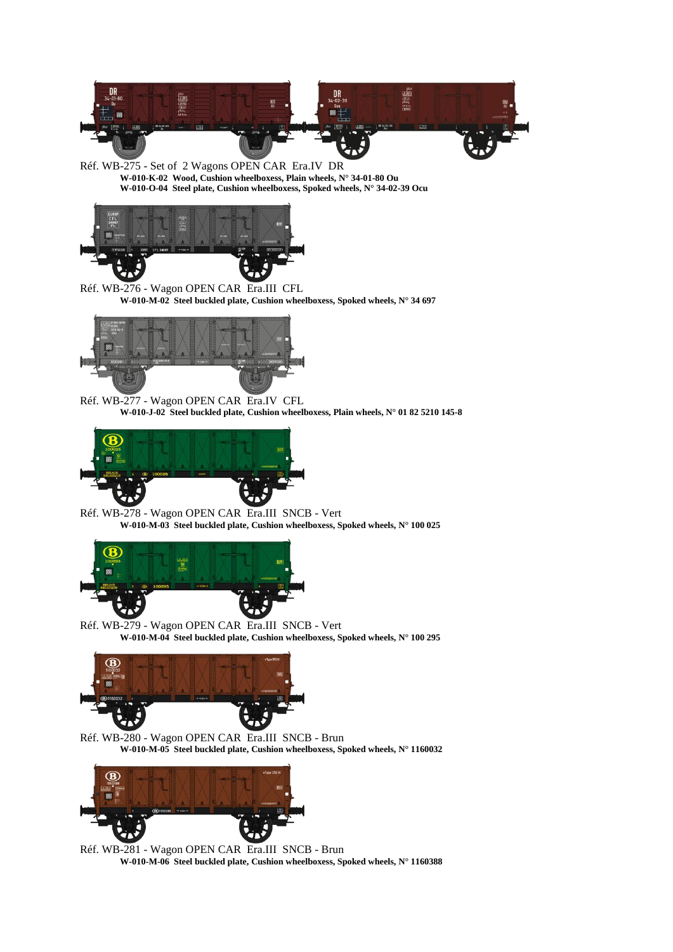

Réf. WB-275 - Set of 2 Wagons OPEN CAR Era.IV DR **W-010-K-02 Wood, Cushion wheelboxess, Plain wheels, N° 34-01-80 Ou W-010-O-04 Steel plate, Cushion wheelboxess, Spoked wheels, N° 34-02-39 Ocu**



Réf. WB-276 - Wagon OPEN CAR Era.III CFL **W-010-M-02 Steel buckled plate, Cushion wheelboxess, Spoked wheels, N° 34 697**



Réf. WB-277 - Wagon OPEN CAR Era.IV CFL **W-010-J-02 Steel buckled plate, Cushion wheelboxess, Plain wheels, N° 01 82 5210 145-8**



Réf. WB-278 - Wagon OPEN CAR Era.III SNCB - Vert **W-010-M-03 Steel buckled plate, Cushion wheelboxess, Spoked wheels, N° 100 025**



Réf. WB-279 - Wagon OPEN CAR Era.III SNCB - Vert **W-010-M-04 Steel buckled plate, Cushion wheelboxess, Spoked wheels, N° 100 295**



Réf. WB-280 - Wagon OPEN CAR Era.III SNCB - Brun **W-010-M-05 Steel buckled plate, Cushion wheelboxess, Spoked wheels, N° 1160032**



Réf. WB-281 - Wagon OPEN CAR Era.III SNCB - Brun **W-010-M-06 Steel buckled plate, Cushion wheelboxess, Spoked wheels, N° 1160388**